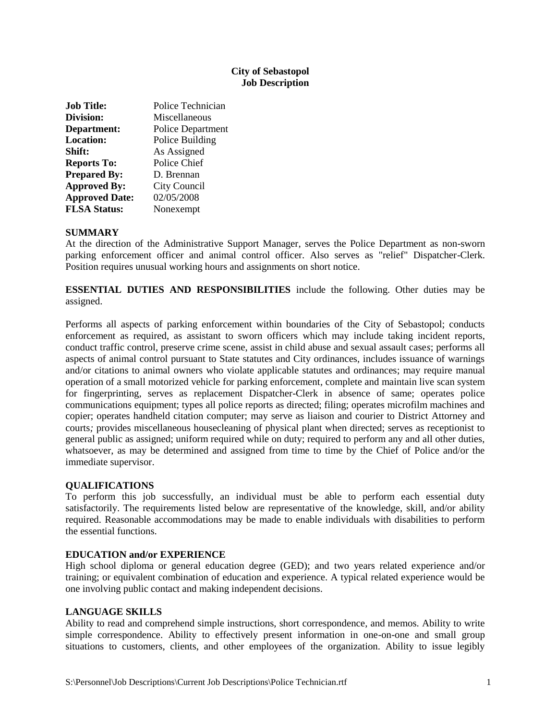# **City of Sebastopol Job Description**

| <b>Job Title:</b>     | Police Technician        |
|-----------------------|--------------------------|
| Division:             | Miscellaneous            |
| Department:           | <b>Police Department</b> |
| <b>Location:</b>      | Police Building          |
| Shift:                | As Assigned              |
| <b>Reports To:</b>    | Police Chief             |
| <b>Prepared By:</b>   | D. Brennan               |
| <b>Approved By:</b>   | City Council             |
| <b>Approved Date:</b> | 02/05/2008               |
| <b>FLSA Status:</b>   | Nonexempt                |

## **SUMMARY**

At the direction of the Administrative Support Manager, serves the Police Department as non-sworn parking enforcement officer and animal control officer. Also serves as "relief" Dispatcher-Clerk. Position requires unusual working hours and assignments on short notice.

**ESSENTIAL DUTIES AND RESPONSIBILITIES** include the following. Other duties may be assigned.

Performs all aspects of parking enforcement within boundaries of the City of Sebastopol; conducts enforcement as required, as assistant to sworn officers which may include taking incident reports, conduct traffic control, preserve crime scene, assist in child abuse and sexual assault case*s*; performs all aspects of animal control pursuant to State statutes and City ordinances, includes issuance of warnings and/or citations to animal owners who violate applicable statutes and ordinances; may require manual operation of a small motorized vehicle for parking enforcement*,* complete and maintain live scan system for fingerprinting*,* serves as replacement Dispatcher-Clerk in absence of same; operates police communications equipment; types all police reports as directed; filing; operates microfilm machines and copier; operates handheld citation computer; may serve as liaison and courier to District Attorney and courts*;* provides miscellaneous housecleaning of physical plant when directed; serves as receptionist to general public as assigned; uniform required while on duty; required to perform any and all other duties, whatsoever, as may be determined and assigned from time to time by the Chief of Police and/or the immediate supervisor.

### **QUALIFICATIONS**

To perform this job successfully, an individual must be able to perform each essential duty satisfactorily. The requirements listed below are representative of the knowledge, skill, and/or ability required. Reasonable accommodations may be made to enable individuals with disabilities to perform the essential functions.

### **EDUCATION and/or EXPERIENCE**

High school diploma or general education degree (GED); and two years related experience and/or training; or equivalent combination of education and experience. A typical related experience would be one involving public contact and making independent decisions.

### **LANGUAGE SKILLS**

Ability to read and comprehend simple instructions, short correspondence, and memos. Ability to write simple correspondence. Ability to effectively present information in one-on-one and small group situations to customers, clients, and other employees of the organization. Ability to issue legibly